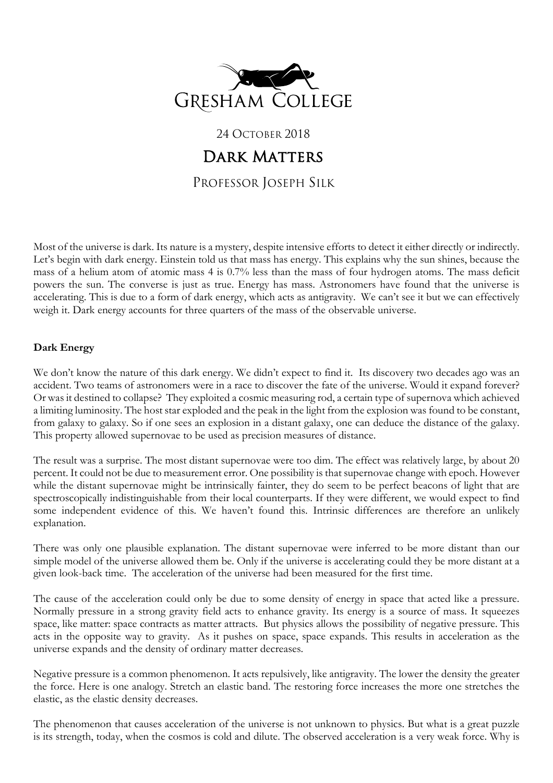

# 24 OCTOBER 2018 DARK MATTERS PROFESSOR JOSEPH SILK

Most of the universe is dark. Its nature is a mystery, despite intensive efforts to detect it either directly or indirectly. Let's begin with dark energy. Einstein told us that mass has energy. This explains why the sun shines, because the mass of a helium atom of atomic mass 4 is 0.7% less than the mass of four hydrogen atoms. The mass deficit powers the sun. The converse is just as true. Energy has mass. Astronomers have found that the universe is accelerating. This is due to a form of dark energy, which acts as antigravity. We can't see it but we can effectively weigh it. Dark energy accounts for three quarters of the mass of the observable universe.

# **Dark Energy**

We don't know the nature of this dark energy. We didn't expect to find it. Its discovery two decades ago was an accident. Two teams of astronomers were in a race to discover the fate of the universe. Would it expand forever? Or was it destined to collapse? They exploited a cosmic measuring rod, a certain type of supernova which achieved a limiting luminosity. The host star exploded and the peak in the light from the explosion was found to be constant, from galaxy to galaxy. So if one sees an explosion in a distant galaxy, one can deduce the distance of the galaxy. This property allowed supernovae to be used as precision measures of distance.

The result was a surprise. The most distant supernovae were too dim. The effect was relatively large, by about 20 percent. It could not be due to measurement error. One possibility is that supernovae change with epoch. However while the distant supernovae might be intrinsically fainter, they do seem to be perfect beacons of light that are spectroscopically indistinguishable from their local counterparts. If they were different, we would expect to find some independent evidence of this. We haven't found this. Intrinsic differences are therefore an unlikely explanation.

There was only one plausible explanation. The distant supernovae were inferred to be more distant than our simple model of the universe allowed them be. Only if the universe is accelerating could they be more distant at a given look-back time. The acceleration of the universe had been measured for the first time.

The cause of the acceleration could only be due to some density of energy in space that acted like a pressure. Normally pressure in a strong gravity field acts to enhance gravity. Its energy is a source of mass. It squeezes space, like matter: space contracts as matter attracts. But physics allows the possibility of negative pressure. This acts in the opposite way to gravity. As it pushes on space, space expands. This results in acceleration as the universe expands and the density of ordinary matter decreases.

Negative pressure is a common phenomenon. It acts repulsively, like antigravity. The lower the density the greater the force. Here is one analogy. Stretch an elastic band. The restoring force increases the more one stretches the elastic, as the elastic density decreases.

The phenomenon that causes acceleration of the universe is not unknown to physics. But what is a great puzzle is its strength, today, when the cosmos is cold and dilute. The observed acceleration is a very weak force. Why is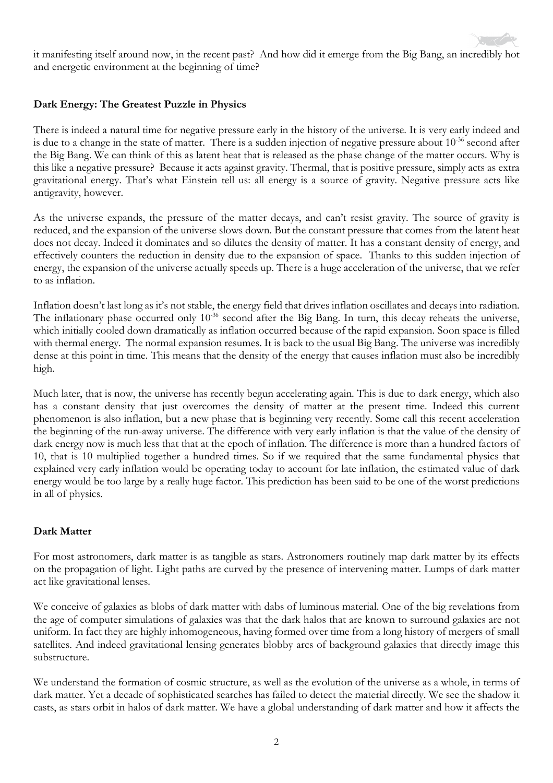it manifesting itself around now, in the recent past? And how did it emerge from the Big Bang, an incredibly hot and energetic environment at the beginning of time?

# **Dark Energy: The Greatest Puzzle in Physics**

There is indeed a natural time for negative pressure early in the history of the universe. It is very early indeed and is due to a change in the state of matter. There is a sudden injection of negative pressure about  $10^{-36}$  second after the Big Bang. We can think of this as latent heat that is released as the phase change of the matter occurs. Why is this like a negative pressure? Because it acts against gravity. Thermal, that is positive pressure, simply acts as extra gravitational energy. That's what Einstein tell us: all energy is a source of gravity. Negative pressure acts like antigravity, however.

As the universe expands, the pressure of the matter decays, and can't resist gravity. The source of gravity is reduced, and the expansion of the universe slows down. But the constant pressure that comes from the latent heat does not decay. Indeed it dominates and so dilutes the density of matter. It has a constant density of energy, and effectively counters the reduction in density due to the expansion of space. Thanks to this sudden injection of energy, the expansion of the universe actually speeds up. There is a huge acceleration of the universe, that we refer to as inflation.

Inflation doesn't last long as it's not stable, the energy field that drives inflation oscillates and decays into radiation. The inflationary phase occurred only 10<sup>-36</sup> second after the Big Bang. In turn, this decay reheats the universe, which initially cooled down dramatically as inflation occurred because of the rapid expansion. Soon space is filled with thermal energy. The normal expansion resumes. It is back to the usual Big Bang. The universe was incredibly dense at this point in time. This means that the density of the energy that causes inflation must also be incredibly high.

Much later, that is now, the universe has recently begun accelerating again. This is due to dark energy, which also has a constant density that just overcomes the density of matter at the present time. Indeed this current phenomenon is also inflation, but a new phase that is beginning very recently. Some call this recent acceleration the beginning of the run-away universe. The difference with very early inflation is that the value of the density of dark energy now is much less that that at the epoch of inflation. The difference is more than a hundred factors of 10, that is 10 multiplied together a hundred times. So if we required that the same fundamental physics that explained very early inflation would be operating today to account for late inflation, the estimated value of dark energy would be too large by a really huge factor. This prediction has been said to be one of the worst predictions in all of physics.

# **Dark Matter**

For most astronomers, dark matter is as tangible as stars. Astronomers routinely map dark matter by its effects on the propagation of light. Light paths are curved by the presence of intervening matter. Lumps of dark matter act like gravitational lenses.

We conceive of galaxies as blobs of dark matter with dabs of luminous material. One of the big revelations from the age of computer simulations of galaxies was that the dark halos that are known to surround galaxies are not uniform. In fact they are highly inhomogeneous, having formed over time from a long history of mergers of small satellites. And indeed gravitational lensing generates blobby arcs of background galaxies that directly image this substructure.

We understand the formation of cosmic structure, as well as the evolution of the universe as a whole, in terms of dark matter. Yet a decade of sophisticated searches has failed to detect the material directly. We see the shadow it casts, as stars orbit in halos of dark matter. We have a global understanding of dark matter and how it affects the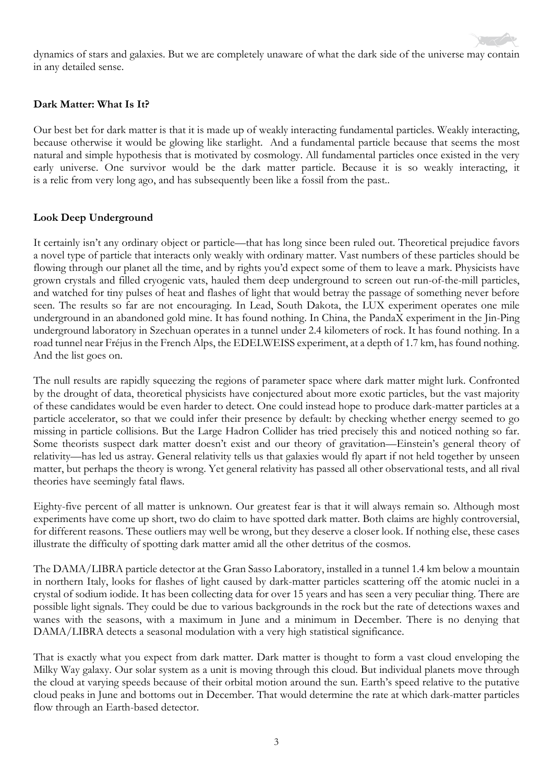dynamics of stars and galaxies. But we are completely unaware of what the dark side of the universe may contain in any detailed sense.

# **Dark Matter: What Is It?**

Our best bet for dark matter is that it is made up of weakly interacting fundamental particles. Weakly interacting, because otherwise it would be glowing like starlight. And a fundamental particle because that seems the most natural and simple hypothesis that is motivated by cosmology. All fundamental particles once existed in the very early universe. One survivor would be the dark matter particle. Because it is so weakly interacting, it is a relic from very long ago, and has subsequently been like a fossil from the past..

# **Look Deep Underground**

It certainly isn't any ordinary object or particle—that has long since been ruled out. Theoretical prejudice favors a novel type of particle that interacts only weakly with ordinary matter. Vast numbers of these particles should be flowing through our planet all the time, and by rights you'd expect some of them to leave a mark. Physicists have grown crystals and filled cryogenic vats, hauled them deep underground to screen out run-of-the-mill particles, and watched for tiny pulses of heat and flashes of light that would betray the passage of something never before seen. The results so far are not encouraging. In Lead, South Dakota, the LUX experiment operates one mile underground in an abandoned gold mine. It has found nothing. In China, the PandaX experiment in the Jin-Ping underground laboratory in Szechuan operates in a tunnel under 2.4 kilometers of rock. It has found nothing. In a road tunnel near Fréjus in the French Alps, the EDELWEISS experiment, at a depth of 1.7 km, has found nothing. And the list goes on.

The null results are rapidly squeezing the regions of parameter space where dark matter might lurk. Confronted by the drought of data, theoretical physicists have conjectured about more exotic particles, but the vast majority of these candidates would be even harder to detect. One could instead hope to produce dark-matter particles at a particle accelerator, so that we could infer their presence by default: by checking whether energy seemed to go missing in particle collisions. But the Large Hadron Collider has tried precisely this and noticed nothing so far. Some theorists suspect dark matter doesn't exist and our theory of gravitation—Einstein's general theory of relativity—has led us astray. General relativity tells us that galaxies would fly apart if not held together by unseen matter, but perhaps the theory is wrong. Yet general relativity has passed all other observational tests, and all rival theories have seemingly fatal flaws.

Eighty-five percent of all matter is unknown. Our greatest fear is that it will always remain so. Although most experiments have come up short, two do claim to have spotted dark matter. Both claims are highly controversial, for different reasons. These outliers may well be wrong, but they deserve a closer look. If nothing else, these cases illustrate the difficulty of spotting dark matter amid all the other detritus of the cosmos.

The DAMA/LIBRA particle detector at the Gran Sasso Laboratory, installed in a tunnel 1.4 km below a mountain in northern Italy, looks for flashes of light caused by dark-matter particles scattering off the atomic nuclei in a crystal of sodium iodide. It has been collecting data for over 15 years and has seen a very peculiar thing. There are possible light signals. They could be due to various backgrounds in the rock but the rate of detections waxes and wanes with the seasons, with a maximum in June and a minimum in December. There is no denying that DAMA/LIBRA detects a seasonal modulation with a very high statistical significance.

That is exactly what you expect from dark matter. Dark matter is thought to form a vast cloud enveloping the Milky Way galaxy. Our solar system as a unit is moving through this cloud. But individual planets move through the cloud at varying speeds because of their orbital motion around the sun. Earth's speed relative to the putative cloud peaks in June and bottoms out in December. That would determine the rate at which dark-matter particles flow through an Earth-based detector.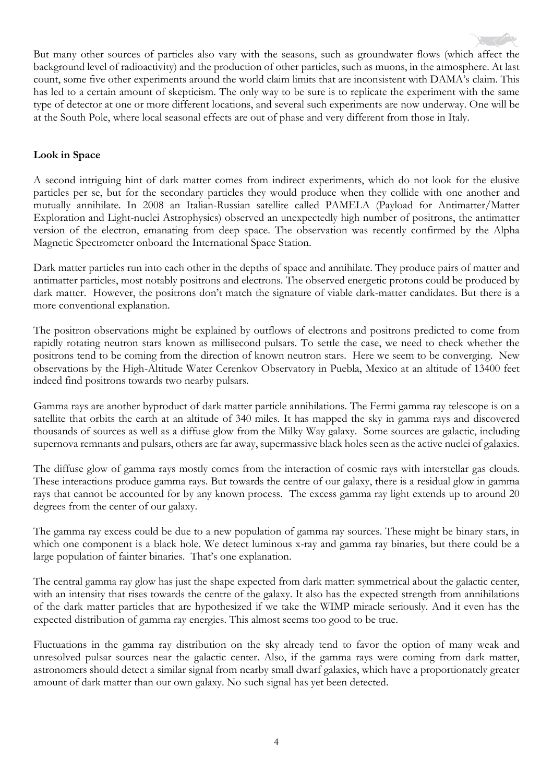But many other sources of particles also vary with the seasons, such as groundwater flows (which affect the background level of radioactivity) and the production of other particles, such as muons, in the atmosphere. At last count, some five other experiments around the world claim limits that are inconsistent with DAMA's claim. This has led to a certain amount of skepticism. The only way to be sure is to replicate the experiment with the same type of detector at one or more different locations, and several such experiments are now underway. One will be at the South Pole, where local seasonal effects are out of phase and very different from those in Italy.

# **Look in Space**

A second intriguing hint of dark matter comes from indirect experiments, which do not look for the elusive particles per se, but for the secondary particles they would produce when they collide with one another and mutually annihilate. In 2008 an Italian-Russian satellite called PAMELA (Payload for Antimatter/Matter Exploration and Light-nuclei Astrophysics) observed an unexpectedly high number of positrons, the antimatter version of the electron, emanating from deep space. The observation was recently confirmed by the Alpha Magnetic Spectrometer onboard the International Space Station.

Dark matter particles run into each other in the depths of space and annihilate. They produce pairs of matter and antimatter particles, most notably positrons and electrons. The observed energetic protons could be produced by dark matter. However, the positrons don't match the signature of viable dark-matter candidates. But there is a more conventional explanation.

The positron observations might be explained by outflows of electrons and positrons predicted to come from rapidly rotating neutron stars known as millisecond pulsars. To settle the case, we need to check whether the positrons tend to be coming from the direction of known neutron stars. Here we seem to be converging. New observations by the High-Altitude Water Cerenkov Observatory in Puebla, Mexico at an altitude of 13400 feet indeed find positrons towards two nearby pulsars.

Gamma rays are another byproduct of dark matter particle annihilations. The Fermi gamma ray telescope is on a satellite that orbits the earth at an altitude of 340 miles. It has mapped the sky in gamma rays and discovered thousands of sources as well as a diffuse glow from the Milky Way galaxy. Some sources are galactic, including supernova remnants and pulsars, others are far away, supermassive black holes seen as the active nuclei of galaxies.

The diffuse glow of gamma rays mostly comes from the interaction of cosmic rays with interstellar gas clouds. These interactions produce gamma rays. But towards the centre of our galaxy, there is a residual glow in gamma rays that cannot be accounted for by any known process. The excess gamma ray light extends up to around 20 degrees from the center of our galaxy.

The gamma ray excess could be due to a new population of gamma ray sources. These might be binary stars, in which one component is a black hole. We detect luminous x-ray and gamma ray binaries, but there could be a large population of fainter binaries. That's one explanation.

The central gamma ray glow has just the shape expected from dark matter: symmetrical about the galactic center, with an intensity that rises towards the centre of the galaxy. It also has the expected strength from annihilations of the dark matter particles that are hypothesized if we take the WIMP miracle seriously. And it even has the expected distribution of gamma ray energies. This almost seems too good to be true.

Fluctuations in the gamma ray distribution on the sky already tend to favor the option of many weak and unresolved pulsar sources near the galactic center. Also, if the gamma rays were coming from dark matter, astronomers should detect a similar signal from nearby small dwarf galaxies, which have a proportionately greater amount of dark matter than our own galaxy. No such signal has yet been detected.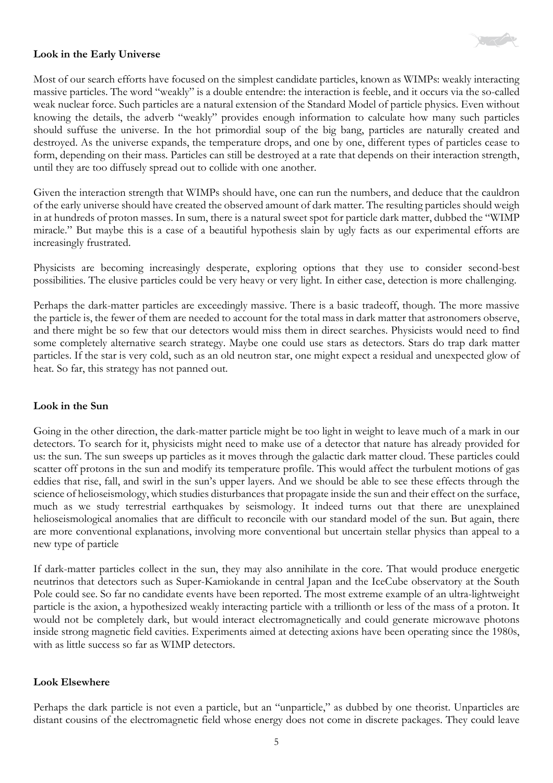

## **Look in the Early Universe**

Most of our search efforts have focused on the simplest candidate particles, known as WIMPs: weakly interacting massive particles. The word "weakly" is a double entendre: the interaction is feeble, and it occurs via the so-called weak nuclear force. Such particles are a natural extension of the Standard Model of particle physics. Even without knowing the details, the adverb "weakly" provides enough information to calculate how many such particles should suffuse the universe. In the hot primordial soup of the big bang, particles are naturally created and destroyed. As the universe expands, the temperature drops, and one by one, different types of particles cease to form, depending on their mass. Particles can still be destroyed at a rate that depends on their interaction strength, until they are too diffusely spread out to collide with one another.

Given the interaction strength that WIMPs should have, one can run the numbers, and deduce that the cauldron of the early universe should have created the observed amount of dark matter. The resulting particles should weigh in at hundreds of proton masses. In sum, there is a natural sweet spot for particle dark matter, dubbed the "WIMP miracle." But maybe this is a case of a beautiful hypothesis slain by ugly facts as our experimental efforts are increasingly frustrated.

Physicists are becoming increasingly desperate, exploring options that they use to consider second-best possibilities. The elusive particles could be very heavy or very light. In either case, detection is more challenging.

Perhaps the dark-matter particles are exceedingly massive. There is a basic tradeoff, though. The more massive the particle is, the fewer of them are needed to account for the total mass in dark matter that astronomers observe, and there might be so few that our detectors would miss them in direct searches. Physicists would need to find some completely alternative search strategy. Maybe one could use stars as detectors. Stars do trap dark matter particles. If the star is very cold, such as an old neutron star, one might expect a residual and unexpected glow of heat. So far, this strategy has not panned out.

### **Look in the Sun**

Going in the other direction, the dark-matter particle might be too light in weight to leave much of a mark in our detectors. To search for it, physicists might need to make use of a detector that nature has already provided for us: the sun. The sun sweeps up particles as it moves through the galactic dark matter cloud. These particles could scatter off protons in the sun and modify its temperature profile. This would affect the turbulent motions of gas eddies that rise, fall, and swirl in the sun's upper layers. And we should be able to see these effects through the science of helioseismology, which studies disturbances that propagate inside the sun and their effect on the surface, much as we study terrestrial earthquakes by seismology. It indeed turns out that there are unexplained helioseismological anomalies that are difficult to reconcile with our standard model of the sun. But again, there are more conventional explanations, involving more conventional but uncertain stellar physics than appeal to a new type of particle

If dark-matter particles collect in the sun, they may also annihilate in the core. That would produce energetic neutrinos that detectors such as Super-Kamiokande in central Japan and the IceCube observatory at the South Pole could see. So far no candidate events have been reported. The most extreme example of an ultra-lightweight particle is the axion, a hypothesized weakly interacting particle with a trillionth or less of the mass of a proton. It would not be completely dark, but would interact electromagnetically and could generate microwave photons inside strong magnetic field cavities. Experiments aimed at detecting axions have been operating since the 1980s, with as little success so far as WIMP detectors.

### **Look Elsewhere**

Perhaps the dark particle is not even a particle, but an "unparticle," as dubbed by one theorist. Unparticles are distant cousins of the electromagnetic field whose energy does not come in discrete packages. They could leave